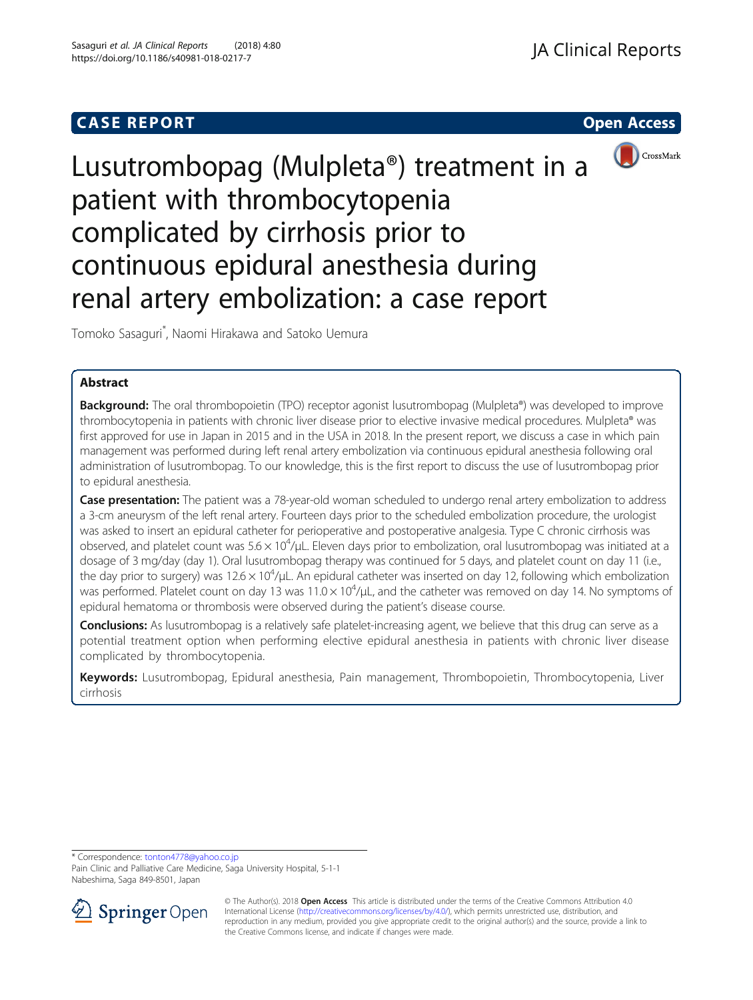## **CASE REPORT CASE REPORT CASE REPORT**



# Lusutrombopag (Mulpleta®) treatment in a patient with thrombocytopenia complicated by cirrhosis prior to continuous epidural anesthesia during renal artery embolization: a case report

Tomoko Sasaguri\* , Naomi Hirakawa and Satoko Uemura

## Abstract

**Background:** The oral thrombopoietin (TPO) receptor agonist lusutrombopag (Mulpleta®) was developed to improve thrombocytopenia in patients with chronic liver disease prior to elective invasive medical procedures. Mulpleta® was first approved for use in Japan in 2015 and in the USA in 2018. In the present report, we discuss a case in which pain management was performed during left renal artery embolization via continuous epidural anesthesia following oral administration of lusutrombopag. To our knowledge, this is the first report to discuss the use of lusutrombopag prior to epidural anesthesia.

Case presentation: The patient was a 78-year-old woman scheduled to undergo renal artery embolization to address a 3-cm aneurysm of the left renal artery. Fourteen days prior to the scheduled embolization procedure, the urologist was asked to insert an epidural catheter for perioperative and postoperative analgesia. Type C chronic cirrhosis was observed, and platelet count was  $5.6 \times 10^4$ /µL. Eleven days prior to embolization, oral lusutrombopag was initiated at a dosage of 3 mg/day (day 1). Oral lusutrombopag therapy was continued for 5 days, and platelet count on day 11 (i.e., the day prior to surgery) was 12.6  $\times$  10<sup>4</sup>/µL. An epidural catheter was inserted on day 12, following which embolization was performed. Platelet count on day 13 was  $11.0 \times 10^4$ /µL, and the catheter was removed on day 14. No symptoms of epidural hematoma or thrombosis were observed during the patient's disease course.

**Conclusions:** As lusutrombopag is a relatively safe platelet-increasing agent, we believe that this drug can serve as a potential treatment option when performing elective epidural anesthesia in patients with chronic liver disease complicated by thrombocytopenia.

Keywords: Lusutrombopag, Epidural anesthesia, Pain management, Thrombopoietin, Thrombocytopenia, Liver cirrhosis

\* Correspondence: [tonton4778@yahoo.co.jp](mailto:tonton4778@yahoo.co.jp)

Pain Clinic and Palliative Care Medicine, Saga University Hospital, 5-1-1 Nabeshima, Saga 849-8501, Japan



© The Author(s). 2018 Open Access This article is distributed under the terms of the Creative Commons Attribution 4.0 International License ([http://creativecommons.org/licenses/by/4.0/\)](http://creativecommons.org/licenses/by/4.0/), which permits unrestricted use, distribution, and reproduction in any medium, provided you give appropriate credit to the original author(s) and the source, provide a link to the Creative Commons license, and indicate if changes were made.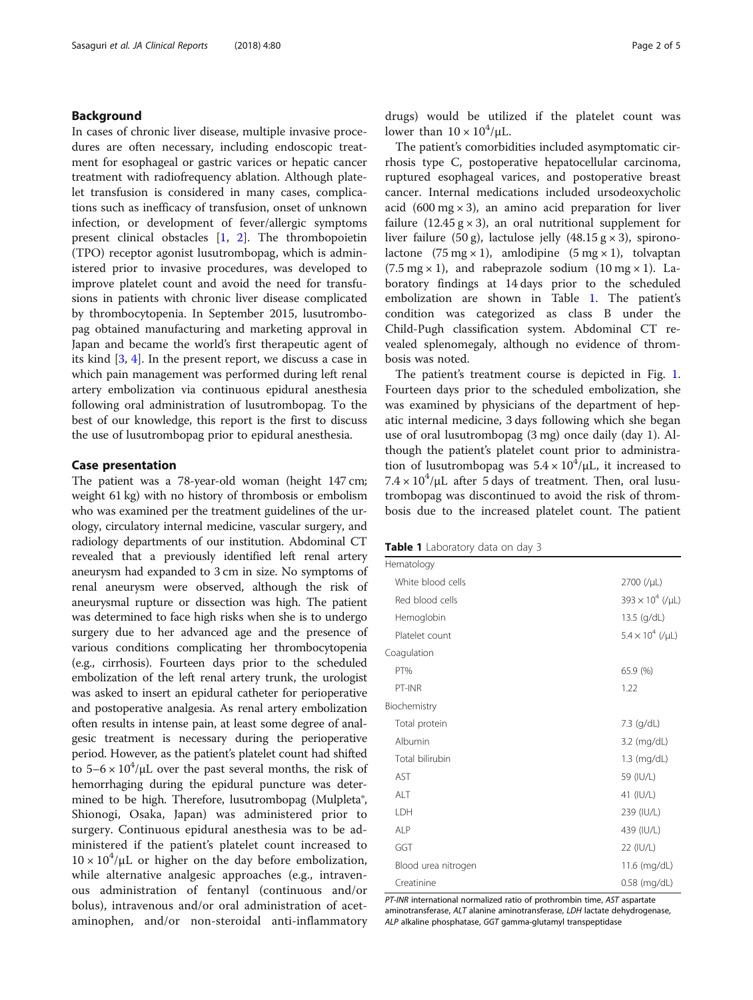## Background

In cases of chronic liver disease, multiple invasive procedures are often necessary, including endoscopic treatment for esophageal or gastric varices or hepatic cancer treatment with radiofrequency ablation. Although platelet transfusion is considered in many cases, complications such as inefficacy of transfusion, onset of unknown infection, or development of fever/allergic symptoms present clinical obstacles [\[1](#page-4-0), [2](#page-4-0)]. The thrombopoietin (TPO) receptor agonist lusutrombopag, which is administered prior to invasive procedures, was developed to improve platelet count and avoid the need for transfusions in patients with chronic liver disease complicated by thrombocytopenia. In September 2015, lusutrombopag obtained manufacturing and marketing approval in Japan and became the world's first therapeutic agent of its kind [[3,](#page-4-0) [4\]](#page-4-0). In the present report, we discuss a case in which pain management was performed during left renal artery embolization via continuous epidural anesthesia following oral administration of lusutrombopag. To the best of our knowledge, this report is the first to discuss the use of lusutrombopag prior to epidural anesthesia.

#### Case presentation

The patient was a 78-year-old woman (height 147 cm; weight 61 kg) with no history of thrombosis or embolism who was examined per the treatment guidelines of the urology, circulatory internal medicine, vascular surgery, and radiology departments of our institution. Abdominal CT revealed that a previously identified left renal artery aneurysm had expanded to 3 cm in size. No symptoms of renal aneurysm were observed, although the risk of aneurysmal rupture or dissection was high. The patient was determined to face high risks when she is to undergo surgery due to her advanced age and the presence of various conditions complicating her thrombocytopenia (e.g., cirrhosis). Fourteen days prior to the scheduled embolization of the left renal artery trunk, the urologist was asked to insert an epidural catheter for perioperative and postoperative analgesia. As renal artery embolization often results in intense pain, at least some degree of analgesic treatment is necessary during the perioperative period. However, as the patient's platelet count had shifted to  $5-6 \times 10^4$ /µL over the past several months, the risk of hemorrhaging during the epidural puncture was determined to be high. Therefore, lusutrombopag (Mulpleta®, Shionogi, Osaka, Japan) was administered prior to surgery. Continuous epidural anesthesia was to be administered if the patient's platelet count increased to  $10 \times 10^4$ /µL or higher on the day before embolization, while alternative analgesic approaches (e.g., intravenous administration of fentanyl (continuous and/or bolus), intravenous and/or oral administration of acetaminophen, and/or non-steroidal anti-inflammatory drugs) would be utilized if the platelet count was lower than  $10 \times 10^4/\mu L$ .

The patient's comorbidities included asymptomatic cirrhosis type C, postoperative hepatocellular carcinoma, ruptured esophageal varices, and postoperative breast cancer. Internal medications included ursodeoxycholic acid (600 mg  $\times$  3), an amino acid preparation for liver failure (12.45  $g \times 3$ ), an oral nutritional supplement for liver failure (50 g), lactulose jelly (48.15 g  $\times$  3), spironolactone  $(75 \text{ mg} \times 1)$ , amlodipine  $(5 \text{ mg} \times 1)$ , tolvaptan  $(7.5 \text{ mg} \times 1)$ , and rabeprazole sodium  $(10 \text{ mg} \times 1)$ . Laboratory findings at 14 days prior to the scheduled embolization are shown in Table 1. The patient's condition was categorized as class B under the Child-Pugh classification system. Abdominal CT revealed splenomegaly, although no evidence of thrombosis was noted.

The patient's treatment course is depicted in Fig. [1](#page-2-0). Fourteen days prior to the scheduled embolization, she was examined by physicians of the department of hepatic internal medicine, 3 days following which she began use of oral lusutrombopag (3 mg) once daily (day 1). Although the patient's platelet count prior to administration of lusutrombopag was  $5.4 \times 10^4/\mu$ L, it increased to  $7.4 \times 10^4/\mu$ L after 5 days of treatment. Then, oral lusutrombopag was discontinued to avoid the risk of thrombosis due to the increased platelet count. The patient

Table 1 Laboratory data on day 3

| Hematology          |                         |
|---------------------|-------------------------|
| White blood cells   | 2700 (/µL)              |
| Red blood cells     | $393 \times 10^4$ (/µL) |
| Hemoglobin          | 13.5 (g/dL)             |
| Platelet count      | $5.4 \times 10^4$ (/µL) |
| Coagulation         |                         |
| PT%                 | 65.9 (%)                |
| PT-INR              | 1.22                    |
| Biochemistry        |                         |
| Total protein       | 7.3 (g/dL)              |
| Albumin             | 3.2 (mg/dL)             |
| Total bilirubin     | $1.3$ (mg/dL)           |
| AST                 | 59 (IU/L)               |
| ALT                 | 41 (IU/L)               |
| LDH                 | 239 (IU/L)              |
| <b>ALP</b>          | 439 (IU/L)              |
| GGT                 | 22 (IU/L)               |
| Blood urea nitrogen | 11.6 (mg/dL)            |
| Creatinine          | 0.58 (mg/dL)            |

PT-INR international normalized ratio of prothrombin time, AST aspartate aminotransferase, ALT alanine aminotransferase, LDH lactate dehydrogenase, ALP alkaline phosphatase, GGT gamma-glutamyl transpeptidase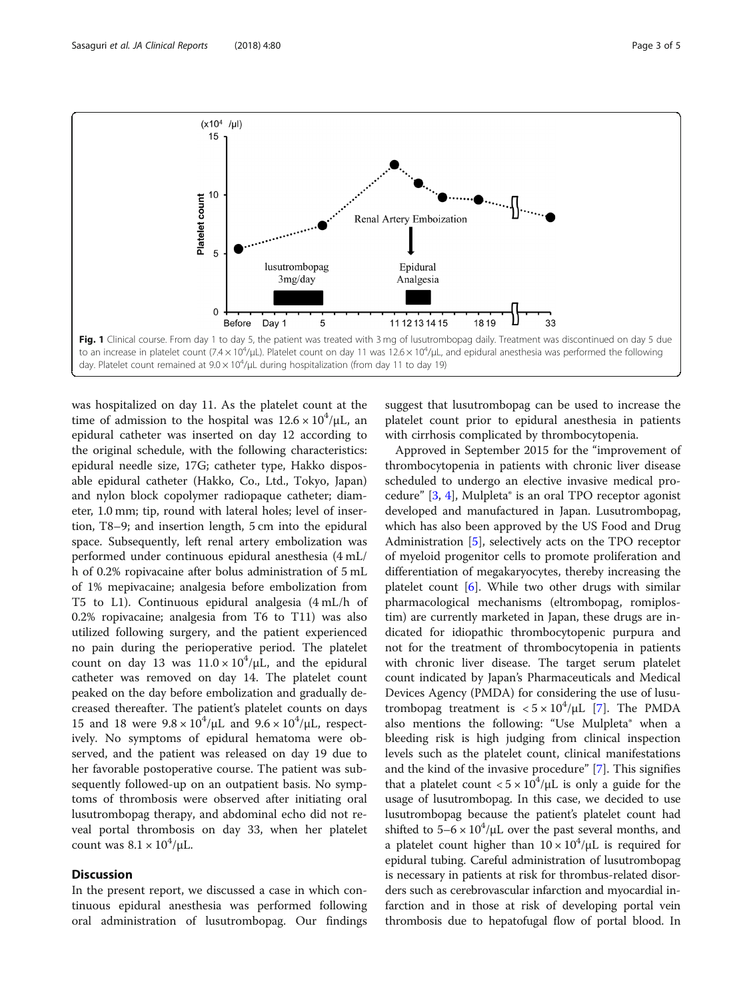<span id="page-2-0"></span>

was hospitalized on day 11. As the platelet count at the time of admission to the hospital was  $12.6 \times 10^4/\mu L$ , an epidural catheter was inserted on day 12 according to the original schedule, with the following characteristics: epidural needle size, 17G; catheter type, Hakko disposable epidural catheter (Hakko, Co., Ltd., Tokyo, Japan) and nylon block copolymer radiopaque catheter; diameter, 1.0 mm; tip, round with lateral holes; level of insertion, T8–9; and insertion length, 5 cm into the epidural space. Subsequently, left renal artery embolization was performed under continuous epidural anesthesia (4 mL/ h of 0.2% ropivacaine after bolus administration of 5 mL of 1% mepivacaine; analgesia before embolization from T5 to L1). Continuous epidural analgesia (4 mL/h of 0.2% ropivacaine; analgesia from T6 to T11) was also utilized following surgery, and the patient experienced no pain during the perioperative period. The platelet count on day 13 was  $11.0 \times 10^4/\mu$ L, and the epidural catheter was removed on day 14. The platelet count peaked on the day before embolization and gradually decreased thereafter. The patient's platelet counts on days 15 and 18 were  $9.8 \times 10^4/\mu$ L and  $9.6 \times 10^4/\mu$ L, respectively. No symptoms of epidural hematoma were observed, and the patient was released on day 19 due to her favorable postoperative course. The patient was subsequently followed-up on an outpatient basis. No symptoms of thrombosis were observed after initiating oral lusutrombopag therapy, and abdominal echo did not reveal portal thrombosis on day 33, when her platelet count was  $8.1 \times 10^4 / \mu L$ .

## **Discussion**

In the present report, we discussed a case in which continuous epidural anesthesia was performed following oral administration of lusutrombopag. Our findings

suggest that lusutrombopag can be used to increase the platelet count prior to epidural anesthesia in patients with cirrhosis complicated by thrombocytopenia.

Approved in September 2015 for the "improvement of thrombocytopenia in patients with chronic liver disease scheduled to undergo an elective invasive medical procedure" [[3,](#page-4-0) [4](#page-4-0)], Mulpleta® is an oral TPO receptor agonist developed and manufactured in Japan. Lusutrombopag, which has also been approved by the US Food and Drug Administration [[5](#page-4-0)], selectively acts on the TPO receptor of myeloid progenitor cells to promote proliferation and differentiation of megakaryocytes, thereby increasing the platelet count [\[6](#page-4-0)]. While two other drugs with similar pharmacological mechanisms (eltrombopag, romiplostim) are currently marketed in Japan, these drugs are indicated for idiopathic thrombocytopenic purpura and not for the treatment of thrombocytopenia in patients with chronic liver disease. The target serum platelet count indicated by Japan's Pharmaceuticals and Medical Devices Agency (PMDA) for considering the use of lusutrombopag treatment is  $< 5 \times 10^4/\mu L$  [[7\]](#page-4-0). The PMDA also mentions the following: "Use Mulpleta® when a bleeding risk is high judging from clinical inspection levels such as the platelet count, clinical manifestations and the kind of the invasive procedure" [[7\]](#page-4-0). This signifies that a platelet count  $< 5 \times 10^4/\mu$ L is only a guide for the usage of lusutrombopag. In this case, we decided to use lusutrombopag because the patient's platelet count had shifted to  $5-6 \times 10^4/\mu L$  over the past several months, and a platelet count higher than  $10 \times 10^4 / \mu$ L is required for epidural tubing. Careful administration of lusutrombopag is necessary in patients at risk for thrombus-related disorders such as cerebrovascular infarction and myocardial infarction and in those at risk of developing portal vein thrombosis due to hepatofugal flow of portal blood. In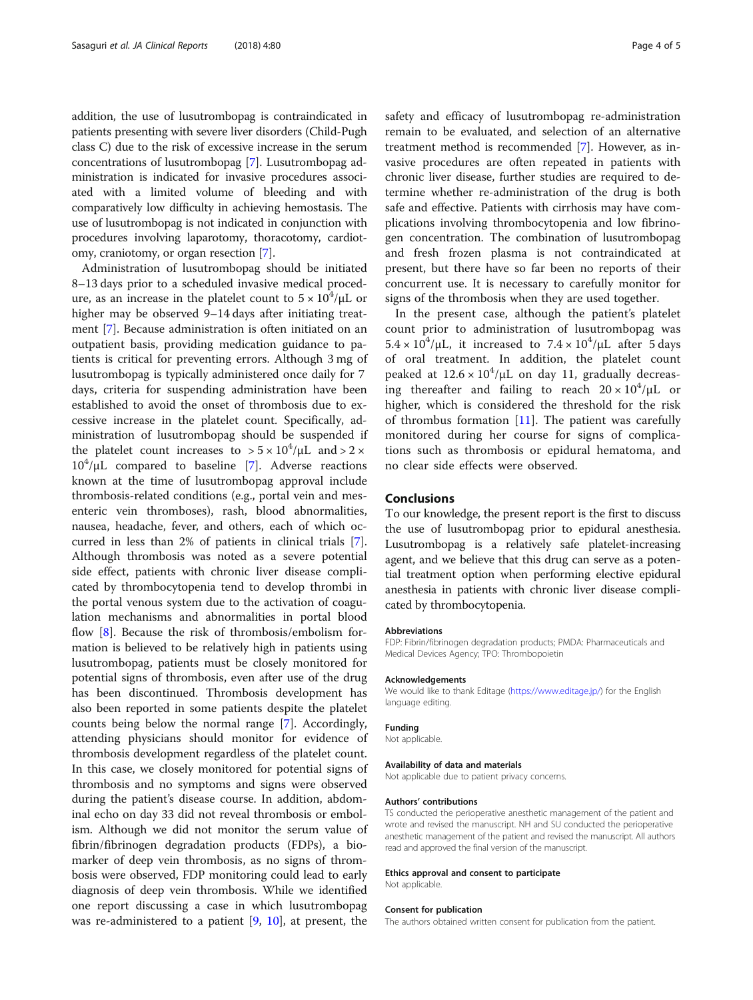addition, the use of lusutrombopag is contraindicated in patients presenting with severe liver disorders (Child-Pugh class C) due to the risk of excessive increase in the serum concentrations of lusutrombopag [\[7](#page-4-0)]. Lusutrombopag administration is indicated for invasive procedures associated with a limited volume of bleeding and with comparatively low difficulty in achieving hemostasis. The use of lusutrombopag is not indicated in conjunction with procedures involving laparotomy, thoracotomy, cardiotomy, craniotomy, or organ resection [[7\]](#page-4-0).

Administration of lusutrombopag should be initiated 8–13 days prior to a scheduled invasive medical procedure, as an increase in the platelet count to  $5 \times 10^4$ / $\rm \mu L$  or higher may be observed 9–14 days after initiating treatment [\[7](#page-4-0)]. Because administration is often initiated on an outpatient basis, providing medication guidance to patients is critical for preventing errors. Although 3 mg of lusutrombopag is typically administered once daily for 7 days, criteria for suspending administration have been established to avoid the onset of thrombosis due to excessive increase in the platelet count. Specifically, administration of lusutrombopag should be suspended if the platelet count increases to  $> 5 \times 10^4/\mu$ L and  $> 2 \times$  $10^4/\mu$ L compared to baseline [[7\]](#page-4-0). Adverse reactions known at the time of lusutrombopag approval include thrombosis-related conditions (e.g., portal vein and mesenteric vein thromboses), rash, blood abnormalities, nausea, headache, fever, and others, each of which occurred in less than 2% of patients in clinical trials [\[7](#page-4-0)]. Although thrombosis was noted as a severe potential side effect, patients with chronic liver disease complicated by thrombocytopenia tend to develop thrombi in the portal venous system due to the activation of coagulation mechanisms and abnormalities in portal blood flow [[8\]](#page-4-0). Because the risk of thrombosis/embolism formation is believed to be relatively high in patients using lusutrombopag, patients must be closely monitored for potential signs of thrombosis, even after use of the drug has been discontinued. Thrombosis development has also been reported in some patients despite the platelet counts being below the normal range [[7](#page-4-0)]. Accordingly, attending physicians should monitor for evidence of thrombosis development regardless of the platelet count. In this case, we closely monitored for potential signs of thrombosis and no symptoms and signs were observed during the patient's disease course. In addition, abdominal echo on day 33 did not reveal thrombosis or embolism. Although we did not monitor the serum value of fibrin/fibrinogen degradation products (FDPs), a biomarker of deep vein thrombosis, as no signs of thrombosis were observed, FDP monitoring could lead to early diagnosis of deep vein thrombosis. While we identified one report discussing a case in which lusutrombopag was re-administered to a patient  $[9, 10]$  $[9, 10]$  $[9, 10]$ , at present, the

safety and efficacy of lusutrombopag re-administration remain to be evaluated, and selection of an alternative treatment method is recommended [\[7](#page-4-0)]. However, as invasive procedures are often repeated in patients with chronic liver disease, further studies are required to determine whether re-administration of the drug is both safe and effective. Patients with cirrhosis may have complications involving thrombocytopenia and low fibrinogen concentration. The combination of lusutrombopag and fresh frozen plasma is not contraindicated at present, but there have so far been no reports of their concurrent use. It is necessary to carefully monitor for signs of the thrombosis when they are used together.

In the present case, although the patient's platelet count prior to administration of lusutrombopag was  $5.4 \times 10^4/\mu$ L, it increased to  $7.4 \times 10^4/\mu$ L after 5 days of oral treatment. In addition, the platelet count peaked at  $12.6 \times 10^4/\mu$ L on day 11, gradually decreasing thereafter and failing to reach  $20 \times 10^4/\mu$ L or higher, which is considered the threshold for the risk of thrombus formation [\[11](#page-4-0)]. The patient was carefully monitored during her course for signs of complications such as thrombosis or epidural hematoma, and no clear side effects were observed.

## Conclusions

To our knowledge, the present report is the first to discuss the use of lusutrombopag prior to epidural anesthesia. Lusutrombopag is a relatively safe platelet-increasing agent, and we believe that this drug can serve as a potential treatment option when performing elective epidural anesthesia in patients with chronic liver disease complicated by thrombocytopenia.

#### Abbreviations

FDP: Fibrin/fibrinogen degradation products; PMDA: Pharmaceuticals and Medical Devices Agency; TPO: Thrombopoietin

#### Acknowledgements

We would like to thank Editage [\(https://www.editage.jp/](https://www.editage.jp/)) for the English language editing.

#### Funding

Not applicable.

#### Availability of data and materials

Not applicable due to patient privacy concerns.

#### Authors' contributions

TS conducted the perioperative anesthetic management of the patient and wrote and revised the manuscript. NH and SU conducted the perioperative anesthetic management of the patient and revised the manuscript. All authors read and approved the final version of the manuscript.

#### Ethics approval and consent to participate

Not applicable.

#### Consent for publication

The authors obtained written consent for publication from the patient.